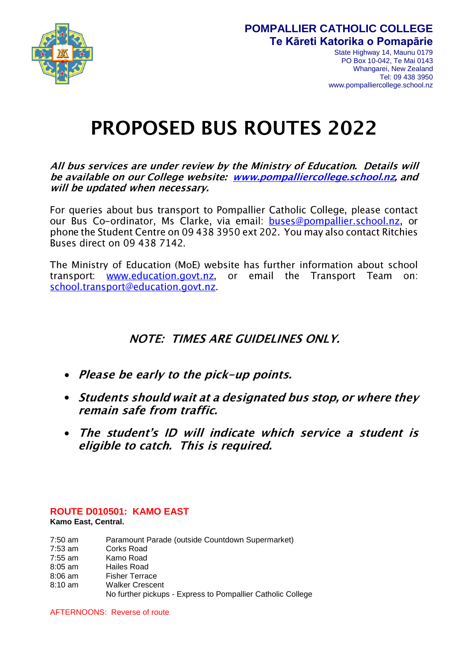

# **POMPALLIER CATHOLIC COLLEGE Te Kāreti Katorika o Pomapārie**

State Highway 14, Maunu 0179 PO Box 10-042, Te Mai 0143 Whangarei, New Zealand Tel: 09 438 3950 www.pompalliercollege.school.nz

# **PROPOSED BUS ROUTES 2022**

# All bus services are under review by the Ministry of Education. Details will be available on our College website: www.pompalliercollege.school.nz, and will be updated when necessary.

For queries about bus transport to Pompallier Catholic College, please contact our Bus Co-ordinator, Ms Clarke, via email: buses@pompallier.school.nz, or phone the Student Centre on 09 438 3950 ext 202. You may also contact Ritchies Buses direct on 09 438 7142.

The Ministry of Education (MoE) website has further information about school email the Transport Team transport: www.education.govt.nz or \_  $On:$ school.transport@education.govt.nz.

# **NOTE: TIMES ARE GUIDELINES ONLY.**

- Please be early to the pick-up points.
- Students should wait at a designated bus stop, or where they remain safe from traffic.
- $\bullet$ The student's ID will indicate which service a student is eligible to catch. This is required.

#### **ROUTE D010501: KAMO EAST Kamo East, Central.**

- 7:50 am Paramount Parade (outside Countdown Supermarket) 7:53 am Corks Road 7:55 am Kamo Road
- 8:05 am Hailes Road
- 8:06 am Fisher Terrace
- 8:10 am Walker Crescent

No further pickups - Express to Pompallier Catholic College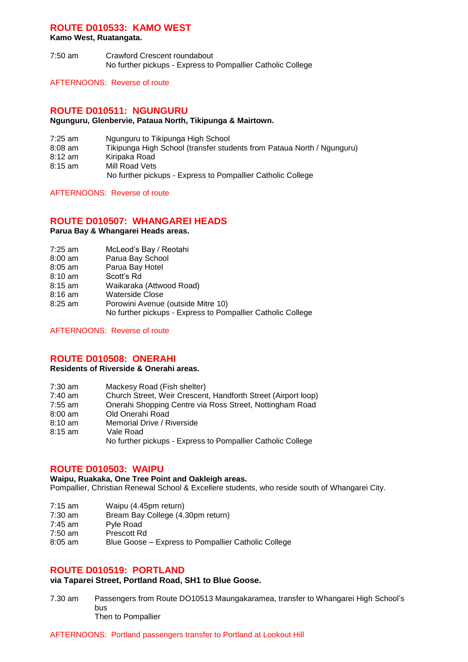# **ROUTE D010533: KAMO WEST**

**Kamo West, Ruatangata.**

7:50 am Crawford Crescent roundabout No further pickups - Express to Pompallier Catholic College

AFTERNOONS: Reverse of route

#### **ROUTE D010511: NGUNGURU**

#### **Ngunguru, Glenbervie, Pataua North, Tikipunga & Mairtown.**

- 7:25 am Ngunguru to Tikipunga High School
- 8:08 am Tikipunga High School (transfer students from Pataua North / Ngunguru)
- 8:12 am Kiripaka Road
- 8:15 am Mill Road Vets

No further pickups - Express to Pompallier Catholic College

AFTERNOONS: Reverse of route

# **ROUTE D010507: WHANGAREI HEADS**

#### **Parua Bay & Whangarei Heads areas.**

- 7:25 am McLeod's Bay / Reotahi
- 8:00 am Parua Bay School
- 8:05 am Parua Bay Hotel
- 8:10 am Scott's Rd
- 8:15 am Waikaraka (Attwood Road)
- 
- 8:16 am Waterside Close<br>8:25 am Porowini Avenue Porowini Avenue (outside Mitre 10)

No further pickups - Express to Pompallier Catholic College

AFTERNOONS: Reverse of route

# **ROUTE D010508: ONERAHI**

#### **Residents of Riverside & Onerahi areas.**

| Church Street, Weir Crescent, Handforth Street (Airport loop)<br>7:40 am |  |
|--------------------------------------------------------------------------|--|
| Onerahi Shopping Centre via Ross Street, Nottingham Road<br>7:55 am      |  |
| Old Onerahi Road<br>8:00 am                                              |  |
| Memorial Drive / Riverside<br>8:10 am                                    |  |
| 8:15 am<br>Vale Road                                                     |  |
| No further pickups - Express to Pompallier Catholic College              |  |

# **ROUTE D010503: WAIPU**

**Waipu, Ruakaka, One Tree Point and Oakleigh areas.** Pompallier, Christian Renewal School & Excellere students, who reside south of Whangarei City.

- 7:15 am Waipu (4.45pm return)<br>7:30 am Bream Bay College (4.
- Bream Bay College (4.30pm return)
- 7:45 am Pyle Road
- 7:50 am Prescott Rd
- 8:05 am Blue Goose Express to Pompallier Catholic College

## **ROUTE D010519: PORTLAND**

#### **via Taparei Street, Portland Road, SH1 to Blue Goose.**

7.30 am Passengers from Route DO10513 Maungakaramea, transfer to Whangarei High School's bus Then to Pompallier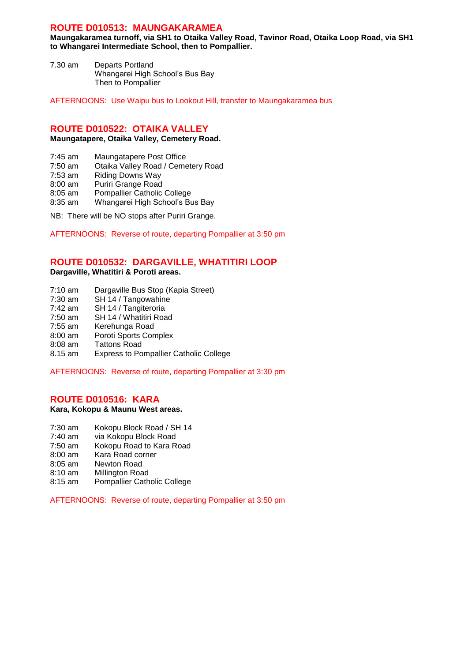## **ROUTE D010513: MAUNGAKARAMEA**

**Maungakaramea turnoff, via SH1 to Otaika Valley Road, Tavinor Road, Otaika Loop Road, via SH1 to Whangarei Intermediate School, then to Pompallier.** 

7.30 am Departs Portland Whangarei High School's Bus Bay Then to Pompallier

AFTERNOONS: Use Waipu bus to Lookout Hill, transfer to Maungakaramea bus

#### **ROUTE D010522: OTAIKA VALLEY**

**Maungatapere, Otaika Valley, Cemetery Road.**

- 7:45 am Maungatapere Post Office
- 7:50 am Otaika Valley Road / Cemetery Road
- 7:53 am Riding Downs Way
- 8:00 am Puriri Grange Road
- 8:05 am Pompallier Catholic College
- 8:35 am Whangarei High School's Bus Bay
- NB: There will be NO stops after Puriri Grange.

AFTERNOONS: Reverse of route, departing Pompallier at 3:50 pm

# **ROUTE D010532: DARGAVILLE, WHATITIRI LOOP**

**Dargaville, Whatitiri & Poroti areas.**

- 7:10 am Dargaville Bus Stop (Kapia Street)
- 7:30 am SH 14 / Tangowahine
- 7:42 am SH 14 / Tangiteroria
- 7:50 am SH 14 / Whatitiri Road
- 7:55 am Kerehunga Road
- 8:00 am Poroti Sports Complex
- 8:08 am Tattons Road
- 8.15 am Express to Pompallier Catholic College

AFTERNOONS: Reverse of route, departing Pompallier at 3:30 pm

# **ROUTE D010516: KARA**

**Kara, Kokopu & Maunu West areas.**

- 7:30 am Kokopu Block Road / SH 14
- 7:40 am via Kokopu Block Road
- 7:50 am Kokopu Road to Kara Road
- 8:00 am Kara Road corner
- 8:05 am Newton Road
- 8:10 am Millington Road
- 8:15 am Pompallier Catholic College

AFTERNOONS: Reverse of route, departing Pompallier at 3:50 pm